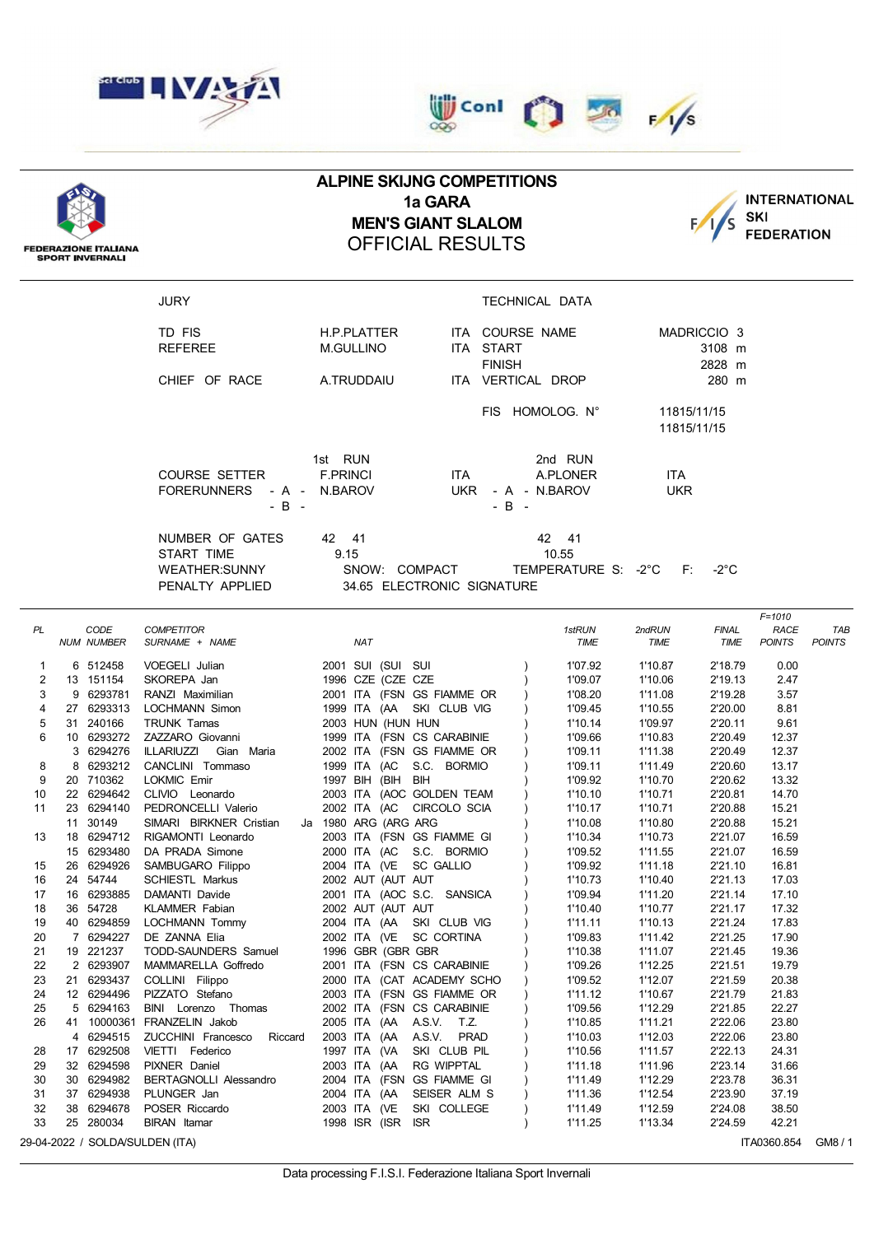

**FEDERAZIONE ITALIANA SPORT INVERNALI** 





## **ALPINE SKIJNG COMPETITIONS 1a GARA MEN'S GIANT SLALOM** OFFICIAL RESULTS



JURY TECHNICAL DATA TD FIS THE H.P. PLATTER THE COURSE NAME THE MADRICCIO 3 REFEREE M.GULLINO ITA START 3108 m FINISH 2828 m CHIEF OF RACE A.TRUDDAIU ITA VERTICAL DROP 280 m FIS HOMOLOG. N° 11815/11/15 11815/11/15 1st RUN 2nd RUN COURSE SETTER F.PRINCI ITA A.PLONER ITA FORERUNNERS - A - N.BAROV UKR - A - N.BAROV UKR  $-B$  -  $-B$  -  $-B$  -NUMBER OF GATES 42 41 42 42 41 START TIME 9.15 9.15 10.55 WEATHER:SUNNY SNOW: COMPACT TEMPERATURE S: -2°C F: -2°C PENALTY APPLIED 34.65 ELECTRONIC SIGNATURE *F=1010 PL CODE COMPETITOR 1stRUN 2ndRUN FINAL RACE TAB NUM NUMBER SURNAME + NAME NAT TIME TIME TIME POINTS POINTS* 6 512458 VOEGELI Julian 2001 SUI (SUI SUI ) 1'07.92 1'10.87 2'18.79 0.00 2 13 151154 SKOREPA Jan 1996 CZE (CZE CZE ) 1'09.07 1'10.06 2'19.13 9 6293781 RANZI Maximilian 2001 ITA (FSN GS FIAMME OR ) 1'08.20 1'11.08 2'19.28 3.57 27 6293313 LOCHMANN Simon 1999 ITA (AA SKI CLUB VIG ) 1'09.45 1'10.55 2'20.00 8.81 31 240166 TRUNK Tamas 2003 HUN (HUN HUN ) 1'10.14 1'09.97 2'20.11 9.61 10 6293272 ZAZZARO Giovanni 1999 ITA (FSN CS CARABINIE ) 1'09.66 1'10.83 2'20.49 12.37 6294276 ILLARIUZZI Gian Maria 2002 ITA (FSN GS FIAMME OR ) 1'09.11 1'11.38 2'20.49 12.37 8 6293212 CANCLINI Tommaso 1999 ITA (AC S.C. BORMIO ) 1'09.11 1'11.49 2'20.60 13.17 20 710362 LOKMIC Emir 1997 BIH (BIH BIH ) 1'09.92 1'10.70 2'20.62 13.32 22 6294642 CLIVIO Leonardo 2003 ITA (AOC GOLDEN TEAM ) 1'10.10 1'10.71 2'20.81 14.70 23 6294140 PEDRONCELLI Valerio 2002 ITA (AC CIRCOLO SCIA ) 1'10.17 1'10.71 2'20.88 15.21 30149 SIMARI BIRKNER Cristian Ja 1980 ARG (ARG ARG ) 1'10.08 1'10.80 2'20.88 15.21 18 6294712 RIGAMONTI Leonardo 2003 ITA (FSN GS FIAMME GI ) 1'10.34 1'10.73 2'21.07 16.59 6293480 DA PRADA Simone 2000 ITA (AC S.C. BORMIO ) 1'09.52 1'11.55 2'21.07 16.59 26 6294926 SAMBUGARO Filippo 2004 ITA (VE SC GALLIO ) 1'09.92 1'11.18 2'21.10 16.81 24 54744 SCHIESTL Markus 2002 AUT (AUT AUT ) 1'10.73 1'10.40 2'21.13 17.03 16 6293885 DAMANTI Davide 2001 ITA (AOC S.C. SANSICA ) 1'09.94 1'11.20 2'21.14 17.10 36 54728 KLAMMER Fabian 2002 AUT (AUT AUT ) 1'10.40 1'10.77 2'21.17 17.32 40 6294859 LOCHMANN Tommy 2004 ITA (AA SKI CLUB VIG ) 1'11.11 1'10.13 2'21.24 17.83 7 6294227 DE ZANNA Elia 2002 ITA (VE SC CORTINA ) 1'09.83 1'11.42 2'21.25 17.90 19 221237 TODD-SAUNDERS Samuel 1996 GBR (GBR GBR ) 1'10.38 1'11.07 2'21.45 19.36 2 6293907 MAMMARELLA Goffredo 2001 ITA (FSN CS CARABINIE ) 1'09.26 1'12.25 2'21.51 19.79 21 6293437 COLLINI Filippo 2000 ITA (CAT ACADEMY SCHO ) 1'09.52 1'12.07 2'21.59 20.38 12 6294496 PIZZATO Stefano 2003 ITA (FSN GS FIAMME OR ) 1'11.12 1'10.67 2'21.79 21.83 5 6294163 BINI Lorenzo Thomas 2002 ITA (FSN CS CARABINIE ) 1'09.56 1'12.29 2'21.85 22.27 41 10000361 FRANZELIN Jakob 2005 ITA (AA A.S.V. T.Z. ) 1'10.85 1'11.21 2'22.06 23.80 6294515 ZUCCHINI Francesco Riccard 2003 ITA (AA A.S.V. PRAD ) 1'10.03 1'12.03 2'22.06 23.80 17 6292508 VIETTI Federico 1997 ITA (VA SKI CLUB PIL ) 1'10.56 1'11.57 2'22.13 24.31 32 6294598 PIXNER Daniel 2003 ITA (AA RG WIPPTAL ) 1'11.18 1'11.96 2'23.14 31.66 30 6294982 BERTAGNOLLI Alessandro 2004 ITA (FSN GS FIAMME GI ) 1'11.49 1'12.29 2'23.78 36.31 37 6294938 PLUNGER Jan 2004 ITA (AA SEISER ALM S ) 1'11.36 1'12.54 2'23.90 37.19 38 6294678 POSER Riccardo 2003 ITA (VE SKI COLLEGE ) 1'11.49 1'12.59 2'24.08 38.50 25 280034 BIRAN Itamar 1998 ISR (ISR ISR ) 1'11.25 1'13.34 2'24.59 42.21

29-04-2022 / SOLDA/SULDEN (ITA) THE SOLDAY SULDEN (ITALLY ASSAMBLE TO A SAMPLE TO A SAMPLE TO A SAMPLE TO A SA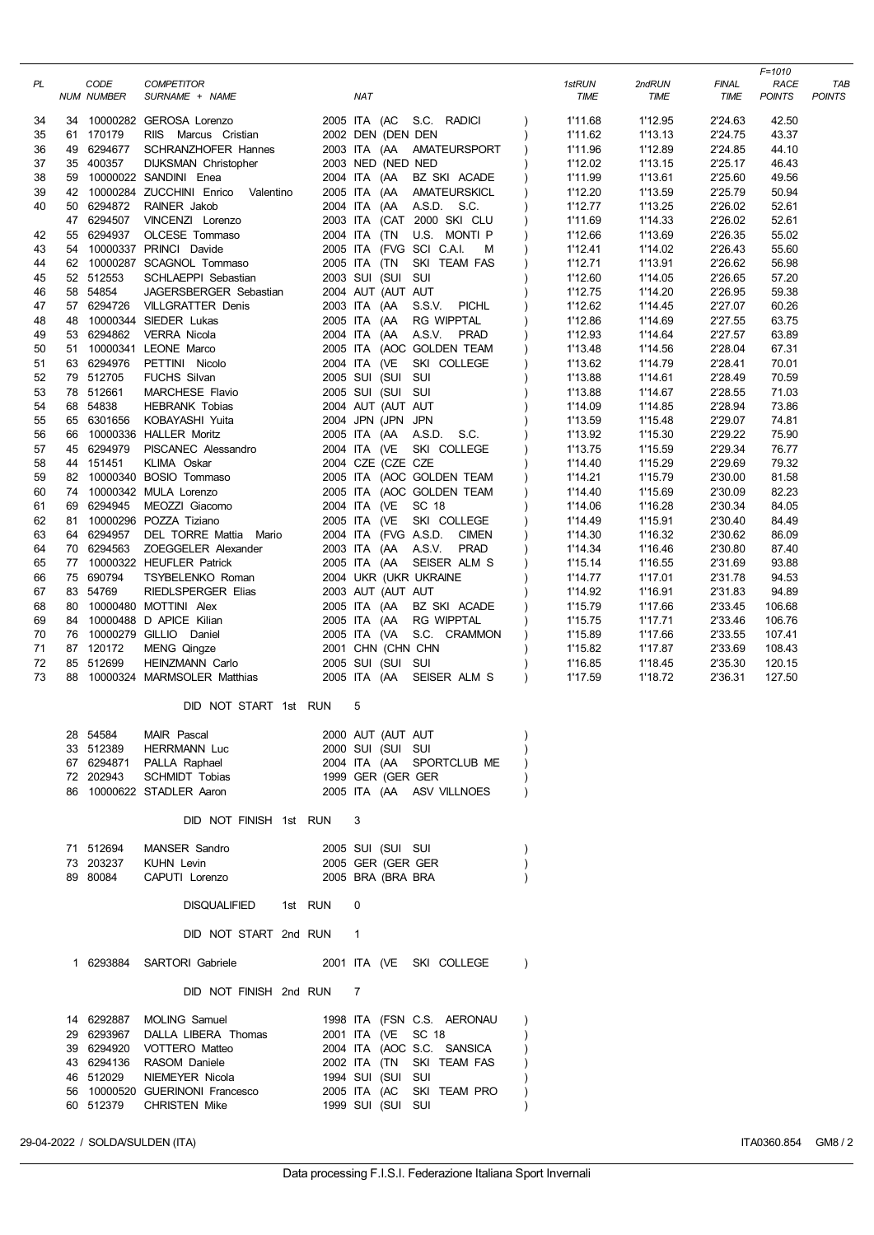|    |    |                           |                                                         |         |                      |                               |                      |                |                      | F=1010                       |                      |
|----|----|---------------------------|---------------------------------------------------------|---------|----------------------|-------------------------------|----------------------|----------------|----------------------|------------------------------|----------------------|
| PL |    | CODE<br><b>NUM NUMBER</b> | <b>COMPETITOR</b><br>SURNAME + NAME                     |         | <b>NAT</b>           |                               | 1stRUN<br>TIME       | 2ndRUN<br>TIME | <b>FINAL</b><br>TIME | <b>RACE</b><br><b>POINTS</b> | TAB<br><b>POINTS</b> |
| 34 |    |                           | 34 10000282 GEROSA Lorenzo                              |         | 2005 ITA (AC         | S.C. RADICI                   | 1'11.68              | 1'12.95        | 2'24.63              | 42.50                        |                      |
| 35 |    | 61 170179                 | RIIS Marcus Cristian                                    |         | 2002 DEN (DEN DEN    |                               | 1'11.62              | 1'13.13        | 2'24.75              | 43.37                        |                      |
| 36 |    | 49 6294677                | SCHRANZHOFER Hannes                                     |         | 2003 ITA (AA         | AMATEURSPORT                  | 1'11.96              | 1'12.89        | 2'24.85              | 44.10                        |                      |
| 37 |    | 35 400357                 | <b>DIJKSMAN Christopher</b>                             |         | 2003 NED (NED NED    |                               | 1'12.02              | 1'13.15        | 2'25.17              | 46.43                        |                      |
| 38 |    |                           | 59 10000022 SANDINI Enea                                |         | 2004 ITA (AA         | BZ SKI ACADE                  | 1'11.99              | 1'13.61        | 2'25.60              | 49.56                        |                      |
| 39 |    |                           | 42 10000284 ZUCCHINI Enrico Valentino                   |         | 2005 ITA (AA         | AMATEURSKICL                  | 1'12.20              | 1'13.59        | 2'25.79              | 50.94                        |                      |
| 40 |    | 50 6294872                | RAINER Jakob                                            |         | 2004 ITA (AA         | A.S.D. S.C.                   | 1'12.77              | 1'13.25        | 2'26.02              | 52.61                        |                      |
|    |    | 47 6294507                | VINCENZI Lorenzo                                        |         |                      | 2003 ITA (CAT 2000 SKI CLU    | 1'11.69              | 1'14.33        | 2'26.02              | 52.61                        |                      |
| 42 |    | 55 6294937                | OLCESE Tommaso                                          |         | 2004 ITA (TN         | U.S. MONTI P                  | 1'12.66              | 1'13.69        | 2'26.35              | 55.02                        |                      |
| 43 |    |                           | 54 10000337 PRINCI Davide                               |         |                      | 2005 ITA (FVG SCI C.A.I.<br>M | 1'12.41              | 1'14.02        | 2'26.43              | 55.60                        |                      |
| 44 |    |                           | 62 10000287 SCAGNOL Tommaso                             |         | 2005 ITA (TN         | SKI TEAM FAS                  | 1'12.71              | 1'13.91        | 2'26.62              | 56.98                        |                      |
| 45 |    | 52 512553                 | SCHLAEPPI Sebastian                                     |         | 2003 SUI (SUI SUI    |                               | 1'12.60              | 1'14.05        | 2'26.65              | 57.20                        |                      |
| 46 |    | 58 54854                  | JAGERSBERGER Sebastian                                  |         | 2004 AUT (AUT AUT    |                               | 1'12.75              | 1'14.20        | 2'26.95              | 59.38                        |                      |
| 47 |    | 57 6294726                | <b>VILLGRATTER Denis</b>                                |         | 2003 ITA (AA         | S.S.V.<br><b>PICHL</b>        | 1'12.62              | 1'14.45        | 2'27.07              | 60.26                        |                      |
| 48 | 48 |                           | 10000344 SIEDER Lukas                                   |         | 2005 ITA (AA         | <b>RG WIPPTAL</b>             | 1'12.86              | 1'14.69        | 2'27.55              | 63.75                        |                      |
| 49 |    | 53 6294862                | <b>VERRA Nicola</b>                                     |         | 2004 ITA (AA         | <b>PRAD</b><br>A.S.V.         | 1'12.93              | 1'14.64        | 2'27.57              | 63.89                        |                      |
| 50 | 51 |                           | 10000341 LEONE Marco                                    |         |                      | 2005 ITA (AOC GOLDEN TEAM     | 1'13.48              | 1'14.56        | 2'28.04              | 67.31                        |                      |
| 51 |    | 63 6294976                | PETTINI Nicolo                                          |         | 2004 ITA (VE         | SKI COLLEGE                   | 1'13.62              | 1'14.79        | 2'28.41              | 70.01                        |                      |
| 52 |    | 79 512705                 | <b>FUCHS Silvan</b>                                     |         | 2005 SUI (SUI SUI    |                               | 1'13.88              | 1'14.61        | 2'28.49              | 70.59                        |                      |
| 53 |    | 78 512661                 | MARCHESE Flavio                                         |         | 2005 SUI (SUI SUI    |                               | 1'13.88              | 1'14.67        | 2'28.55              | 71.03                        |                      |
| 54 |    | 68 54838                  | <b>HEBRANK Tobias</b>                                   |         | 2004 AUT (AUT AUT    |                               | 1'14.09              | 1'14.85        | 2'28.94              | 73.86                        |                      |
| 55 |    | 65 6301656                | KOBAYASHI Yuita                                         |         | 2004 JPN (JPN JPN    |                               | 1'13.59              | 1'15.48        | 2'29.07              | 74.81                        |                      |
| 56 |    | 66 10000336               | <b>HALLER Moritz</b>                                    |         | 2005 ITA (AA         | A.S.D.<br>S.C.                | 1'13.92              | 1'15.30        | 2'29.22              | 75.90                        |                      |
| 57 |    | 45 6294979                | PISCANEC Alessandro                                     |         | 2004 ITA (VE         | SKI COLLEGE                   | 1'13.75              | 1'15.59        | 2'29.34              | 76.77                        |                      |
| 58 |    | 44 151451                 | KLIMA Oskar                                             |         | 2004 CZE (CZE CZE    |                               | 1'14.40              | 1'15.29        | 2'29.69              | 79.32                        |                      |
| 59 |    |                           | 82 10000340 BOSIO Tommaso                               |         |                      | 2005 ITA (AOC GOLDEN TEAM     | 1'14.21              | 1'15.79        | 2'30.00              | 81.58                        |                      |
| 60 |    |                           | 74 10000342 MULA Lorenzo                                |         |                      | 2005 ITA (AOC GOLDEN TEAM     | 1'14.40              | 1'15.69        | 2'30.09              | 82.23                        |                      |
| 61 |    | 69 6294945                | MEOZZI Giacomo                                          |         | 2004 ITA (VE         | SC 18                         | 1'14.06              | 1'16.28        | 2'30.34              | 84.05                        |                      |
| 62 | 81 |                           | 10000296 POZZA Tiziano                                  |         | 2005 ITA (VE         | SKI COLLEGE                   | 1'14.49              | 1'15.91        | 2'30.40              | 84.49                        |                      |
| 63 |    | 64 6294957                | DEL TORRE Mattia Mario                                  |         | 2004 ITA (FVG A.S.D. | <b>CIMEN</b>                  | 1'14.30              | 1'16.32        | 2'30.62              | 86.09                        |                      |
| 64 |    | 70 6294563                | ZOEGGELER Alexander                                     |         | 2003 ITA (AA A.S.V.  | <b>PRAD</b>                   | 1'14.34              | 1'16.46        | 2'30.80              | 87.40                        |                      |
| 65 |    |                           | 77 10000322 HEUFLER Patrick                             |         |                      | 2005 ITA (AA SEISER ALM S     | 1'15.14              | 1'16.55        | 2'31.69              | 93.88                        |                      |
| 66 |    | 75 690794                 | TSYBELENKO Roman                                        |         |                      | 2004 UKR (UKR UKRAINE         | 1'14.77              | 1'17.01        | 2'31.78              | 94.53                        |                      |
| 67 |    | 83 54769                  | RIEDLSPERGER Elias                                      |         | 2003 AUT (AUT AUT    |                               | 1'14.92              | 1'16.91        | 2'31.83              | 94.89                        |                      |
| 68 |    |                           | 80 10000480 MOTTINI Alex                                |         | 2005 ITA (AA         | BZ SKI ACADE                  | 1'15.79              | 1'17.66        | 2'33.45              | 106.68                       |                      |
| 69 |    |                           | 84 10000488 D APICE Kilian                              |         | 2005 ITA (AA         | <b>RG WIPPTAL</b>             | 1'15.75              | 1'17.71        | 2'33.46              | 106.76                       |                      |
| 70 |    |                           | 76 10000279 GILLIO Daniel                               |         |                      | 2005 ITA (VA S.C. CRAMMON     | 1'15.89              | 1'17.66        | 2'33.55              | 107.41                       |                      |
| 71 |    | 87 120172                 | <b>MENG Qingze</b>                                      |         | 2001 CHN (CHN CHN    |                               | 1'15.82              | 1'17.87        | 2'33.69              | 108.43                       |                      |
| 72 |    | 85 512699                 | HEINZMANN Carlo                                         |         | 2005 SUI (SUI SUI    |                               | 1'16.85              | 1'18.45        | 2'35.30              | 120.15                       |                      |
| 73 |    |                           | 88 10000324 MARMSOLER Matthias                          |         |                      | 2005 ITA (AA SEISER ALM S     | 1'17.59<br>$\lambda$ | 1'18.72        | 2'36.31              | 127.50                       |                      |
|    |    |                           | DID NOT START 1st RUN                                   |         | 5                    |                               |                      |                |                      |                              |                      |
|    |    |                           |                                                         |         |                      |                               |                      |                |                      |                              |                      |
|    |    | 28 54584                  | MAIR Pascal                                             |         | 2000 AUT (AUT AUT    |                               |                      |                |                      |                              |                      |
|    |    | 33 512389                 | <b>HERRMANN Luc</b>                                     |         | 2000 SUI (SUI SUI    |                               |                      |                |                      |                              |                      |
|    |    | 67 6294871                | PALLA Raphael                                           |         |                      | 2004 ITA (AA SPORTCLUB ME     |                      |                |                      |                              |                      |
|    |    | 72 202943                 | SCHMIDT Tobias                                          |         | 1999 GER (GER GER    |                               |                      |                |                      |                              |                      |
|    |    |                           | 86 10000622 STADLER Aaron                               |         |                      | 2005 ITA (AA ASV VILLNOES     |                      |                |                      |                              |                      |
|    |    |                           | DID NOT FINISH 1st RUN                                  |         | 3                    |                               |                      |                |                      |                              |                      |
|    |    |                           |                                                         |         |                      |                               |                      |                |                      |                              |                      |
|    |    | 71 512694                 | MANSER Sandro                                           |         | 2005 SUI (SUI SUI    |                               |                      |                |                      |                              |                      |
|    |    | 73 203237                 | <b>KUHN Levin</b>                                       |         | 2005 GER (GER GER    |                               |                      |                |                      |                              |                      |
|    |    | 89 80084                  | CAPUTI Lorenzo                                          |         | 2005 BRA (BRA BRA    |                               |                      |                |                      |                              |                      |
|    |    |                           | <b>DISQUALIFIED</b>                                     | 1st RUN | 0                    |                               |                      |                |                      |                              |                      |
|    |    |                           | DID NOT START 2nd RUN                                   |         | 1                    |                               |                      |                |                      |                              |                      |
|    |    | 1 6293884                 | SARTORI Gabriele                                        |         |                      | 2001 ITA (VE SKI COLLEGE      | $\lambda$            |                |                      |                              |                      |
|    |    |                           | DID NOT FINISH 2nd RUN                                  |         | $\overline{7}$       |                               |                      |                |                      |                              |                      |
|    |    |                           |                                                         |         |                      |                               |                      |                |                      |                              |                      |
|    |    | 14 6292887                | <b>MOLING Samuel</b>                                    |         |                      | 1998 ITA (FSN C.S. AERONAU    |                      |                |                      |                              |                      |
|    |    | 29 6293967                | DALLA LIBERA Thomas                                     |         | 2001 ITA (VE SC 18   |                               |                      |                |                      |                              |                      |
|    |    | 39 6294920                | VOTTERO Matteo                                          |         |                      | 2004 ITA (AOC S.C. SANSICA    |                      |                |                      |                              |                      |
|    |    | 43 6294136<br>46 512029   | RASOM Daniele<br>NIEMEYER Nicola                        |         | 1994 SUI (SUI SUI    | 2002 ITA (TN SKI TEAM FAS     |                      |                |                      |                              |                      |
|    |    |                           |                                                         |         |                      |                               |                      |                |                      |                              |                      |
|    |    | 60 512379                 | 56 10000520 GUERINONI Francesco<br><b>CHRISTEN Mike</b> |         | 1999 SUI (SUI SUI    | 2005 ITA (AC SKI TEAM PRO     |                      |                |                      |                              |                      |
|    |    |                           |                                                         |         |                      |                               |                      |                |                      |                              |                      |

29-04-2022 / SOLDA/SULDEN (ITA) TA0360.854 GM8 / 2